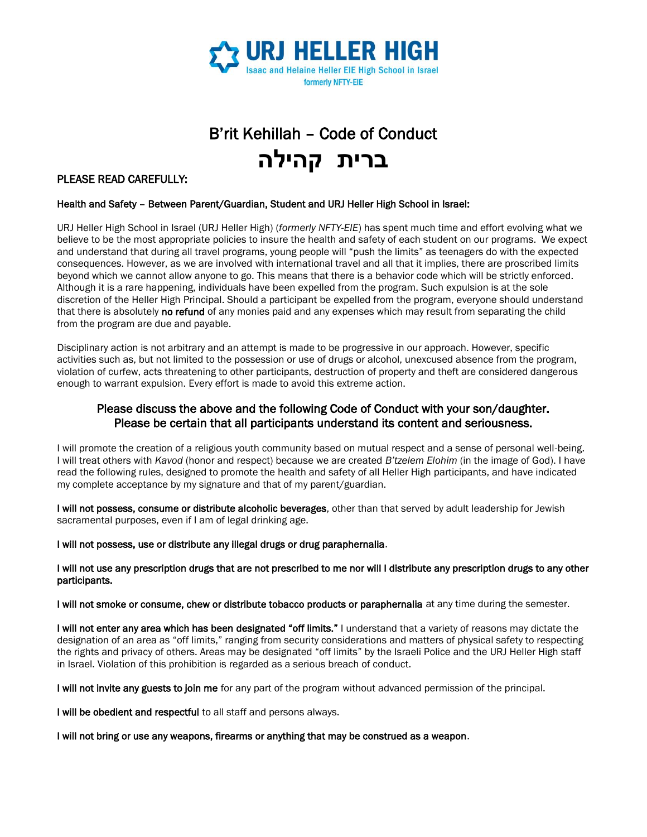

# B'rit Kehillah – Code of Conduct **ברית קהילה**

### PLEASE READ CAREFULLY:

#### Health and Safety – Between Parent/Guardian, Student and URJ Heller High School in Israel:

URJ Heller High School in Israel (URJ Heller High) (*formerly NFTY-EIE*) has spent much time and effort evolving what we believe to be the most appropriate policies to insure the health and safety of each student on our programs. We expect and understand that during all travel programs, young people will "push the limits" as teenagers do with the expected consequences. However, as we are involved with international travel and all that it implies, there are proscribed limits beyond which we cannot allow anyone to go. This means that there is a behavior code which will be strictly enforced. Although it is a rare happening, individuals have been expelled from the program. Such expulsion is at the sole discretion of the Heller High Principal. Should a participant be expelled from the program, everyone should understand that there is absolutely no refund of any monies paid and any expenses which may result from separating the child from the program are due and payable.

Disciplinary action is not arbitrary and an attempt is made to be progressive in our approach. However, specific activities such as, but not limited to the possession or use of drugs or alcohol, unexcused absence from the program, violation of curfew, acts threatening to other participants, destruction of property and theft are considered dangerous enough to warrant expulsion. Every effort is made to avoid this extreme action.

### Please discuss the above and the following Code of Conduct with your son/daughter. Please be certain that all participants understand its content and seriousness.

I will promote the creation of a religious youth community based on mutual respect and a sense of personal well-being. I will treat others with *Kavod* (honor and respect) because we are created *B'tzelem Elohim* (in the image of God). I have read the following rules, designed to promote the health and safety of all Heller High participants, and have indicated my complete acceptance by my signature and that of my parent/guardian.

I will not possess, consume or distribute alcoholic beverages, other than that served by adult leadership for Jewish sacramental purposes, even if I am of legal drinking age.

I will not possess, use or distribute any illegal drugs or drug paraphernalia.

#### I will not use any prescription drugs that are not prescribed to me nor will I distribute any prescription drugs to any other participants.

I will not smoke or consume, chew or distribute tobacco products or paraphernalia at any time during the semester.

I will not enter any area which has been designated "off limits." I understand that a variety of reasons may dictate the designation of an area as "off limits," ranging from security considerations and matters of physical safety to respecting the rights and privacy of others. Areas may be designated "off limits" by the Israeli Police and the URJ Heller High staff in Israel. Violation of this prohibition is regarded as a serious breach of conduct.

I will not invite any guests to join me for any part of the program without advanced permission of the principal.

I will be obedient and respectful to all staff and persons always.

I will not bring or use any weapons, firearms or anything that may be construed as a weapon.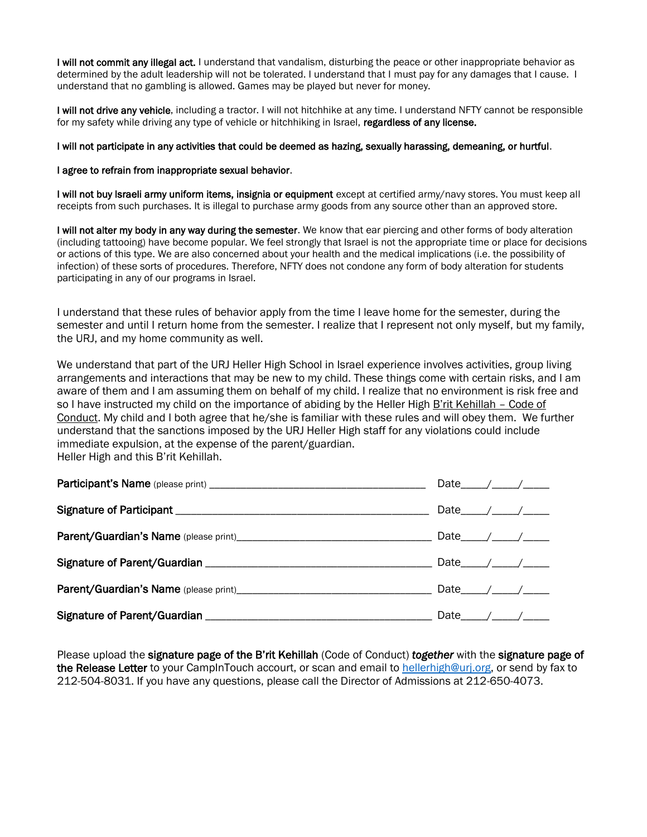I will not commit any illegal act. I understand that vandalism, disturbing the peace or other inappropriate behavior as determined by the adult leadership will not be tolerated. I understand that I must pay for any damages that I cause. I understand that no gambling is allowed. Games may be played but never for money.

I will not drive any vehicle, including a tractor. I will not hitchhike at any time. I understand NFTY cannot be responsible for my safety while driving any type of vehicle or hitchhiking in Israel, regardless of any license.

#### I will not participate in any activities that could be deemed as hazing, sexually harassing, demeaning, or hurtful.

#### I agree to refrain from inappropriate sexual behavior.

I will not buy Israeli army uniform items, insignia or equipment except at certified army/navy stores. You must keep all receipts from such purchases. It is illegal to purchase army goods from any source other than an approved store.

I will not alter my body in any way during the semester. We know that ear piercing and other forms of body alteration (including tattooing) have become popular. We feel strongly that Israel is not the appropriate time or place for decisions or actions of this type. We are also concerned about your health and the medical implications (i.e. the possibility of infection) of these sorts of procedures. Therefore, NFTY does not condone any form of body alteration for students participating in any of our programs in Israel.

I understand that these rules of behavior apply from the time I leave home for the semester, during the semester and until I return home from the semester. I realize that I represent not only myself, but my family, the URJ, and my home community as well.

We understand that part of the URJ Heller High School in Israel experience involves activities, group living arrangements and interactions that may be new to my child. These things come with certain risks, and I am aware of them and I am assuming them on behalf of my child. I realize that no environment is risk free and so I have instructed my child on the importance of abiding by the Heller High B'rit Kehillah – Code of Conduct. My child and I both agree that he/she is familiar with these rules and will obey them. We further understand that the sanctions imposed by the URJ Heller High staff for any violations could include immediate expulsion, at the expense of the parent/guardian. Heller High and this B'rit Kehillah.

| Date $\_\_\_\_\_\_\_\_\_\_\_\_\_\_\_\_\_\_\_\_\_\_\_\_\_\_\_\_$ |
|-----------------------------------------------------------------|
|                                                                 |
|                                                                 |
|                                                                 |
|                                                                 |
|                                                                 |

Please upload the signature page of the B'rit Kehillah (Code of Conduct) *together* with the signature page of the Release Letter to your CampInTouch accourt, or scan and email t[o hellerhigh@urj.org,](mailto:hellerhigh@urj.org) or send by fax to 212-504-8031. If you have any questions, please call the Director of Admissions at 212-650-4073.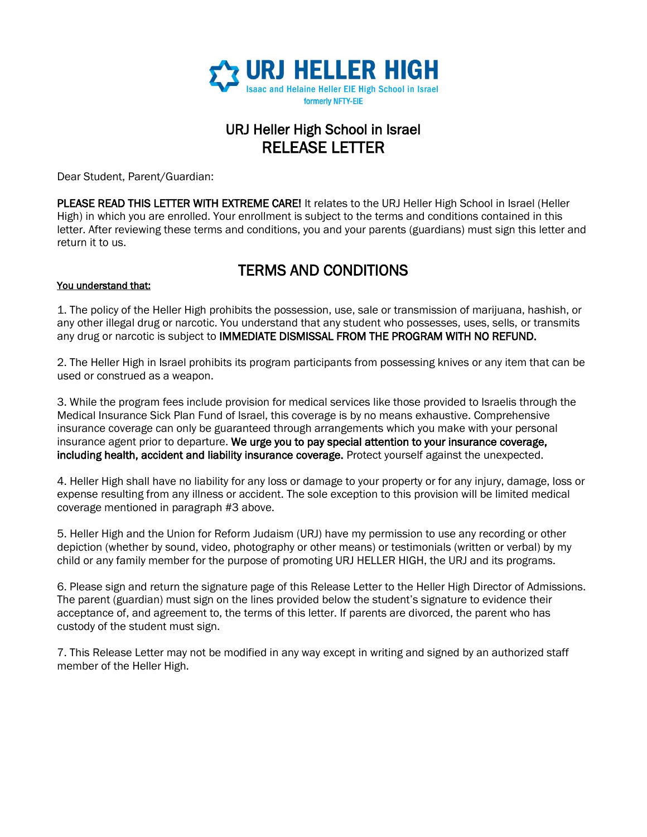

# URJ Heller High School in Israel RELEASE LETTER

Dear Student, Parent/Guardian:

PLEASE READ THIS LETTER WITH EXTREME CARE! It relates to the URJ Heller High School in Israel (Heller High) in which you are enrolled. Your enrollment is subject to the terms and conditions contained in this letter. After reviewing these terms and conditions, you and your parents (guardians) must sign this letter and return it to us.

## TERMS AND CONDITIONS

### You understand that:

1. The policy of the Heller High prohibits the possession, use, sale or transmission of marijuana, hashish, or any other illegal drug or narcotic. You understand that any student who possesses, uses, sells, or transmits any drug or narcotic is subject to IMMEDIATE DISMISSAL FROM THE PROGRAM WITH NO REFUND.

2. The Heller High in Israel prohibits its program participants from possessing knives or any item that can be used or construed as a weapon.

3. While the program fees include provision for medical services like those provided to Israelis through the Medical Insurance Sick Plan Fund of Israel, this coverage is by no means exhaustive. Comprehensive insurance coverage can only be guaranteed through arrangements which you make with your personal insurance agent prior to departure. We urge you to pay special attention to your insurance coverage, including health, accident and liability insurance coverage. Protect yourself against the unexpected.

4. Heller High shall have no liability for any loss or damage to your property or for any injury, damage, loss or expense resulting from any illness or accident. The sole exception to this provision will be limited medical coverage mentioned in paragraph #3 above.

5. Heller High and the Union for Reform Judaism (URJ) have my permission to use any recording or other depiction (whether by sound, video, photography or other means) or testimonials (written or verbal) by my child or any family member for the purpose of promoting URJ HELLER HIGH, the URJ and its programs.

6. Please sign and return the signature page of this Release Letter to the Heller High Director of Admissions. The parent (guardian) must sign on the lines provided below the student's signature to evidence their acceptance of, and agreement to, the terms of this letter. If parents are divorced, the parent who has custody of the student must sign.

7. This Release Letter may not be modified in any way except in writing and signed by an authorized staff member of the Heller High.